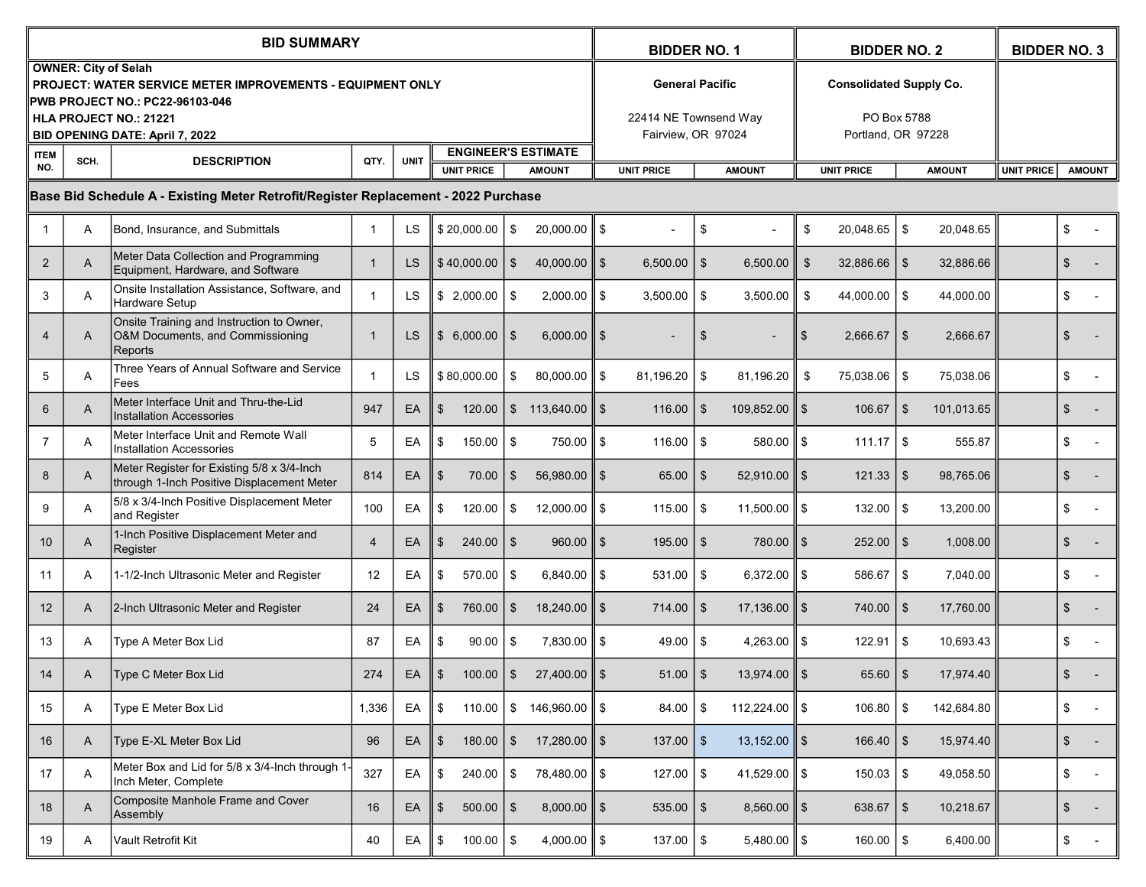|                                                                                    |      | <b>BID SUMMARY</b>                                                                                                                                                                                             | <b>BIDDER NO. 1</b> |             |                                                                  |                |                          | <b>BIDDER NO. 2</b>                                                   |                   |    |                           | <b>BIDDER NO. 3</b> |                                                                     |               |               |                                    |               |  |
|------------------------------------------------------------------------------------|------|----------------------------------------------------------------------------------------------------------------------------------------------------------------------------------------------------------------|---------------------|-------------|------------------------------------------------------------------|----------------|--------------------------|-----------------------------------------------------------------------|-------------------|----|---------------------------|---------------------|---------------------------------------------------------------------|---------------|---------------|------------------------------------|---------------|--|
|                                                                                    |      | <b>OWNER: City of Selah</b><br><b>PROJECT: WATER SERVICE METER IMPROVEMENTS - EQUIPMENT ONLY</b><br><b>PWB PROJECT NO.: PC22-96103-046</b><br>HLA PROJECT NO.: 21221<br><b>BID OPENING DATE: April 7, 2022</b> |                     |             |                                                                  |                |                          | <b>General Pacific</b><br>22414 NE Townsend Way<br>Fairview, OR 97024 |                   |    |                           |                     | <b>Consolidated Supply Co.</b><br>PO Box 5788<br>Portland, OR 97228 |               |               |                                    |               |  |
| <b>ITEM</b><br>NO.                                                                 | SCH. | <b>DESCRIPTION</b>                                                                                                                                                                                             | QTY.                | <b>UNIT</b> | <b>ENGINEER'S ESTIMATE</b><br><b>UNIT PRICE</b><br><b>AMOUNT</b> |                |                          |                                                                       | <b>UNIT PRICE</b> |    | <b>AMOUNT</b>             |                     | <b>UNIT PRICE</b>                                                   |               | <b>AMOUNT</b> | <b>UNIT PRICE</b><br><b>AMOUNT</b> |               |  |
|                                                                                    |      |                                                                                                                                                                                                                |                     |             |                                                                  |                |                          |                                                                       |                   |    |                           |                     |                                                                     |               |               |                                    |               |  |
| Base Bid Schedule A - Existing Meter Retrofit/Register Replacement - 2022 Purchase |      |                                                                                                                                                                                                                |                     |             |                                                                  |                |                          |                                                                       |                   |    |                           |                     |                                                                     |               |               |                                    |               |  |
|                                                                                    | A    | Bond, Insurance, and Submittals                                                                                                                                                                                | -1                  | LS          | \$20,000.00                                                      | \$             | $20,000.00$ \$           |                                                                       |                   | \$ |                           | \$                  | 20,048.65                                                           | \$            | 20,048.65     |                                    | \$            |  |
| 2                                                                                  | A    | Meter Data Collection and Programming<br>Equipment, Hardware, and Software                                                                                                                                     |                     | <b>LS</b>   | \$40,000.00                                                      | \$             | 40,000.00 $\parallel$ \$ |                                                                       | $6,500.00$   \$   |    | 6,500.00                  | \$                  | 32,886.66                                                           | $\sqrt[6]{3}$ | 32,886.66     |                                    | \$            |  |
| 3                                                                                  | Α    | Onsite Installation Assistance, Software, and<br>Hardware Setup                                                                                                                                                |                     | LS          | \$2,000.00                                                       | $\frac{1}{3}$  | $2,000.00$ \$            |                                                                       | 3,500.00          | \$ | 3,500.00                  | \$                  | 44,000.00                                                           | \$            | 44,000.00     |                                    | \$            |  |
| $\overline{4}$                                                                     | A    | Onsite Training and Instruction to Owner,<br>O&M Documents, and Commissioning<br>Reports                                                                                                                       |                     | LS          | \$6.000.00                                                       | -\$            | 6.000.00                 | II \$                                                                 |                   | \$ |                           | \$                  | 2,666.67                                                            | \$            | 2,666.67      |                                    | \$            |  |
| 5                                                                                  | Α    | Three Years of Annual Software and Service<br>Fees                                                                                                                                                             |                     | LS          | \$80,000.00                                                      | \$             | $80,000.00$ S            |                                                                       | 81,196.20         | \$ | 81,196.20                 | \$                  | 75,038.06                                                           | \$            | 75,038.06     |                                    | \$            |  |
| $6\overline{6}$                                                                    | A    | Meter Interface Unit and Thru-the-Lid<br><b>Installation Accessories</b>                                                                                                                                       | 947                 | EA          | $\mathfrak{S}$<br>120.00                                         | $\mathfrak{S}$ | $113,640.00$ \$          |                                                                       | $116.00$   \$     |    | 109,852.00                | l \$                | 106.67                                                              | $\sqrt[6]{3}$ | 101,013.65    |                                    | \$            |  |
| $\overline{7}$                                                                     | Α    | Meter Interface Unit and Remote Wall<br><b>Installation Accessories</b>                                                                                                                                        | 5                   | EA          | \$<br>150.00                                                     | \$             | 750.00 \$                |                                                                       | 116.00            | \$ | 580.00                    | l \$                | $111.17$ $\frac{1}{9}$                                              |               | 555.87        |                                    | \$            |  |
| 8                                                                                  | A    | Meter Register for Existing 5/8 x 3/4-Inch<br>through 1-Inch Positive Displacement Meter                                                                                                                       | 814                 | EA          | \$<br>70.00                                                      | \$             | $56,980.00$   \$         |                                                                       | $65.00$   \$      |    | $52,910.00$   \$          |                     | 121.33                                                              | \$            | 98,765.06     |                                    | \$            |  |
| 9                                                                                  | Α    | 5/8 x 3/4-Inch Positive Displacement Meter<br>and Register                                                                                                                                                     | 100                 | EA          | \$<br>120.00                                                     | \$             | $12,000.00$ S            |                                                                       | $115.00$   \$     |    | 11,500.00                 | ll \$               | 132.00                                                              | <b>\$</b>     | 13,200.00     |                                    | \$            |  |
| 10                                                                                 | A    | 1-Inch Positive Displacement Meter and<br>Register                                                                                                                                                             | $\overline{4}$      | EA          | 240.00<br>\$                                                     | $\vert$ \$     | $960.00$    \$           |                                                                       | $195.00$   \$     |    | 780.00                    | l \$                | 252.00                                                              | $\sqrt[6]{3}$ | 1,008.00      |                                    | \$            |  |
| 11                                                                                 | Α    | 1-1/2-Inch Ultrasonic Meter and Register                                                                                                                                                                       | 12                  | EA          | \$<br>570.00                                                     | \$             | $6,840.00$ S             |                                                                       | 531.00            | \$ | 6,372.00                  | l \$                | 586.67                                                              | \$            | 7,040.00      |                                    | \$            |  |
| 12                                                                                 | A    | 2-Inch Ultrasonic Meter and Register                                                                                                                                                                           | 24                  | EA          | \$<br>760.00                                                     | \$             | $18,240.00$   \$         |                                                                       | $714.00$   \$     |    | 17,136.00                 | ll \$               | 740.00                                                              | \$            | 17,760.00     |                                    | \$            |  |
| 13                                                                                 | Α    | Type A Meter Box Lid                                                                                                                                                                                           | 87                  | EA          | 90.00<br>\$                                                      | \$             | $7,830.00$ S             |                                                                       | 49.00             | \$ | 4,263.00                  | l \$                | 122.91                                                              | \$            | 10,693.43     |                                    | \$            |  |
| 14                                                                                 | A    | Type C Meter Box Lid                                                                                                                                                                                           | 274                 | EA          | $100.00$   \$<br>\$                                              |                | $27,400.00$ \$           |                                                                       | $51.00$   \$      |    | $13,974.00 \parallel$ \$  |                     | 65.60                                                               | $\sqrt{3}$    | 17,974.40     |                                    | \$            |  |
| 15                                                                                 | A    | Type E Meter Box Lid                                                                                                                                                                                           | 1,336               | EA          | \$<br>110.00                                                     | \$             | 146,960.00 ∥ \$          |                                                                       | 84.00             | \$ | 112,224.00 $\ $ \$        |                     | 106.80                                                              | \$            | 142,684.80    |                                    | \$            |  |
| 16                                                                                 | A    | Type E-XL Meter Box Lid                                                                                                                                                                                        | 96                  | EA          | $180.00$   \$<br>I \$                                            |                | $17,280.00$ \$           |                                                                       | $137.00$   \$     |    | $13,152.00$ \$            |                     | $166.40$ \ \$                                                       |               | 15,974.40     |                                    | $\frac{1}{2}$ |  |
| 17                                                                                 | A    | Meter Box and Lid for 5/8 x 3/4-Inch through 1<br>Inch Meter, Complete                                                                                                                                         | 327                 | EA          | \$<br>$240.00$ \$                                                |                | $78,480.00$ \$           |                                                                       | $127.00$   \$     |    | 41,529.00 $\ \$           |                     | $150.03$ \ \$                                                       |               | 49,058.50     |                                    | \$            |  |
| 18                                                                                 | A    | Composite Manhole Frame and Cover<br>Assembly                                                                                                                                                                  | 16                  | EA          | $\sqrt[6]{2}$<br>$500.00$ \ \$                                   |                | $8,000.00$   \$          |                                                                       | $535.00$   \$     |    | $8,560.00$   \$           |                     | 638.67 $\frac{1}{3}$                                                |               | 10,218.67     |                                    | \$            |  |
| 19                                                                                 | A    | Vault Retrofit Kit                                                                                                                                                                                             | 40                  | EA          | \$<br>$100.00$ \$                                                |                | 4,000.00 $\ $ \$         |                                                                       | $137.00$   \$     |    | $5,480.00$ $\parallel$ \$ |                     | $160.00$   \$                                                       |               | 6,400.00      |                                    | \$            |  |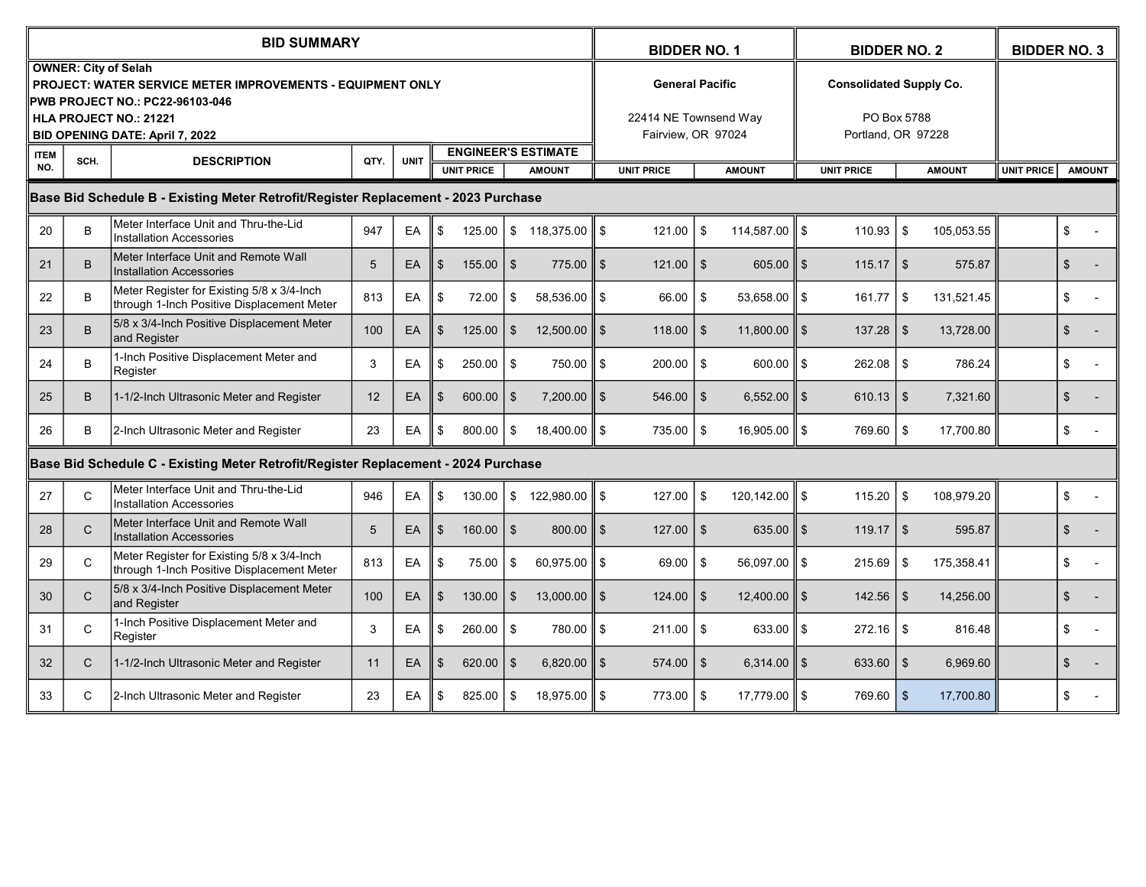|                                                                                    | <b>BID SUMMARY</b>                                               |                                                                                                                                     |      |             |                            |               |                |                         |                        |                    |               | <b>BIDDER NO. 1</b>                         | <b>BIDDER NO. 2</b> |                                   |                |                   | <b>BIDDER NO. 3</b> |     |  |
|------------------------------------------------------------------------------------|------------------------------------------------------------------|-------------------------------------------------------------------------------------------------------------------------------------|------|-------------|----------------------------|---------------|----------------|-------------------------|------------------------|--------------------|---------------|---------------------------------------------|---------------------|-----------------------------------|----------------|-------------------|---------------------|-----|--|
|                                                                                    |                                                                  | <b>OWNER: City of Selah</b><br>PROJECT: WATER SERVICE METER IMPROVEMENTS - EQUIPMENT ONLY<br><b>PWB PROJECT NO.: PC22-96103-046</b> |      |             |                            |               |                |                         | <b>General Pacific</b> |                    |               |                                             |                     | <b>Consolidated Supply Co.</b>    |                |                   |                     |     |  |
|                                                                                    | <b>HLA PROJECT NO.: 21221</b><br>BID OPENING DATE: April 7, 2022 |                                                                                                                                     |      |             |                            |               |                |                         |                        |                    |               | 22414 NE Townsend Way<br>Fairview, OR 97024 |                     | PO Box 5788<br>Portland, OR 97228 |                |                   |                     |     |  |
| <b>ITEM</b><br>NO.                                                                 | SCH.                                                             | <b>DESCRIPTION</b>                                                                                                                  | QTY. | <b>UNIT</b> | <b>ENGINEER'S ESTIMATE</b> |               |                |                         |                        |                    | <b>AMOUNT</b> |                                             | <b>UNIT PRICE</b>   |                                   | <b>AMOUNT</b>  | <b>UNIT PRICE</b> | <b>AMOUNT</b>       |     |  |
| <b>UNIT PRICE</b><br><b>UNIT PRICE</b><br><b>AMOUNT</b>                            |                                                                  |                                                                                                                                     |      |             |                            |               |                |                         |                        |                    |               |                                             |                     |                                   |                |                   |                     |     |  |
| Base Bid Schedule B - Existing Meter Retrofit/Register Replacement - 2023 Purchase |                                                                  |                                                                                                                                     |      |             |                            |               |                |                         |                        |                    |               |                                             |                     |                                   |                |                   |                     |     |  |
| 20                                                                                 | B                                                                | Meter Interface Unit and Thru-the-Lid<br><b>Installation Accessories</b>                                                            | 947  | EA          | \$                         | 125.00        |                | \$118,375.00            | \$                     | 121.00             | \$            | 114,587.00                                  | ll S                | 110.93                            | \$             | 105,053.55        |                     | \$  |  |
| 21                                                                                 | B                                                                | Meter Interface Unit and Remote Wall<br><b>Installation Accessories</b>                                                             | 5    | EA          | $\sqrt[6]{3}$              | $155.00$   \$ |                | $775.00$ $\parallel$ \$ |                        | $121.00$   \$      |               | 605.00                                      | 11 \$               | 115.17                            | $\sqrt{3}$     | 575.87            |                     | \$  |  |
| 22                                                                                 | B                                                                | Meter Register for Existing 5/8 x 3/4-Inch<br>through 1-Inch Positive Displacement Meter                                            | 813  | EA          | \$                         | 72.00         | \$             | 58,536.00               | \$                     | 66.00              | \$            | 53,658.00                                   | ll \$               | 161.77                            | - \$           | 131,521.45        |                     | \$  |  |
| 23                                                                                 | B                                                                | 5/8 x 3/4-Inch Positive Displacement Meter<br>and Register                                                                          | 100  | EA          | $\sqrt[6]{3}$              | 125.00        | $\mathfrak{S}$ | $12,500.00$ S           |                        | $118.00$   \$      |               | $11,800.00$   \$                            |                     | 137.28                            | \$             | 13,728.00         |                     | \$  |  |
| 24                                                                                 | B                                                                | 1-Inch Positive Displacement Meter and<br>Register                                                                                  | 3    | EA          | \$                         | 250.00        | \$             | 750.00 \$               |                        | $200.00$   \$      |               | 600.00                                      | ll \$               | 262.08                            | \$             | 786.24            |                     | \$  |  |
| 25                                                                                 | B                                                                | 1-1/2-Inch Ultrasonic Meter and Register                                                                                            | 12   | EA          | $\mathfrak{F}$             | 600.00        | \$             | 7,200.00                | $\mathfrak{S}$         | $546.00$   \$      |               | 6,552.00                                    | ll \$               | 610.13                            | \$             | 7,321.60          |                     | \$  |  |
| 26                                                                                 | B                                                                | 2-Inch Ultrasonic Meter and Register                                                                                                | 23   | EA          | \$                         | 800.00        | \$             | 18,400.00    \$         |                        | 735.00             | \$            | $16,905.00$ S                               |                     | 769.60                            | \$             | 17,700.80         |                     | \$  |  |
|                                                                                    |                                                                  | Base Bid Schedule C - Existing Meter Retrofit/Register Replacement - 2024 Purchase                                                  |      |             |                            |               |                |                         |                        |                    |               |                                             |                     |                                   |                |                   |                     |     |  |
| 27                                                                                 | $\mathsf{C}$                                                     | Meter Interface Unit and Thru-the-Lid<br><b>Installation Accessories</b>                                                            | 946  | EA          | \$                         | 130.00        |                | $$122,980.00$ \Simu \$  |                        | 127.00             | \$            | 120,142.00                                  | 11 S                | 115.20                            | \$             | 108,979.20        |                     | \$  |  |
| 28                                                                                 | $\mathsf{C}$                                                     | Meter Interface Unit and Remote Wall<br><b>Installation Accessories</b>                                                             | 5    | EA          | $\sqrt[6]{3}$              | $160.00$   \$ |                | $800.00$    \$          |                        | $127.00$   \$      |               | 635.00                                      | $II$ \$             | 119.17                            | l \$           | 595.87            |                     | \$  |  |
| 29                                                                                 | C                                                                | Meter Register for Existing 5/8 x 3/4-Inch<br>through 1-Inch Positive Displacement Meter                                            | 813  | EA          | \$                         | 75.00         | \$             | 60,975.00               | \$                     | 69.00              | \$            | 56,097.00                                   | ll \$               | 215.69                            | \$             | 175,358.41        |                     | \$  |  |
| 30                                                                                 | $\mathsf{C}$                                                     | 5/8 x 3/4-Inch Positive Displacement Meter<br>and Register                                                                          | 100  | EA          | $\mathfrak{S}$             | 130.00        | $\mathbb{S}$   | 13,000.00               | $\mathfrak{S}$         | $124.00$   \$      |               | $12,400.00$   \$                            |                     | 142.56                            | \$             | 14,256.00         |                     | \$  |  |
| 31                                                                                 | $\mathsf{C}$                                                     | 1-Inch Positive Displacement Meter and<br>Register                                                                                  | 3    | EA          | \$                         | 260.00        | \$             | 780.00 S                |                        | $211.00$ $\mid$ \$ |               | 633.00                                      | ll \$               | 272.16                            | <b>S</b>       | 816.48            |                     | \$  |  |
| 32                                                                                 | $\mathsf{C}$                                                     | 1-1/2-Inch Ultrasonic Meter and Register                                                                                            | 11   | EA          | $\sqrt[6]{3}$              | 620.00        | $\mathbb{S}$   | $6,820.00$   \$         |                        | $574.00$   \$      |               | $6,314.00$   \$                             |                     | 633.60                            | $\mathfrak{S}$ | 6,969.60          |                     | \$  |  |
| 33                                                                                 | $\mathsf{C}$                                                     | 2-Inch Ultrasonic Meter and Register                                                                                                | 23   | EA          | -\$                        | 825.00        | \$             | 18,975.00    \$         |                        | 773.00             | - \$          | 17,779.00    \$                             |                     | 769.60                            | $\mathbf{s}$   | 17,700.80         |                     | \$. |  |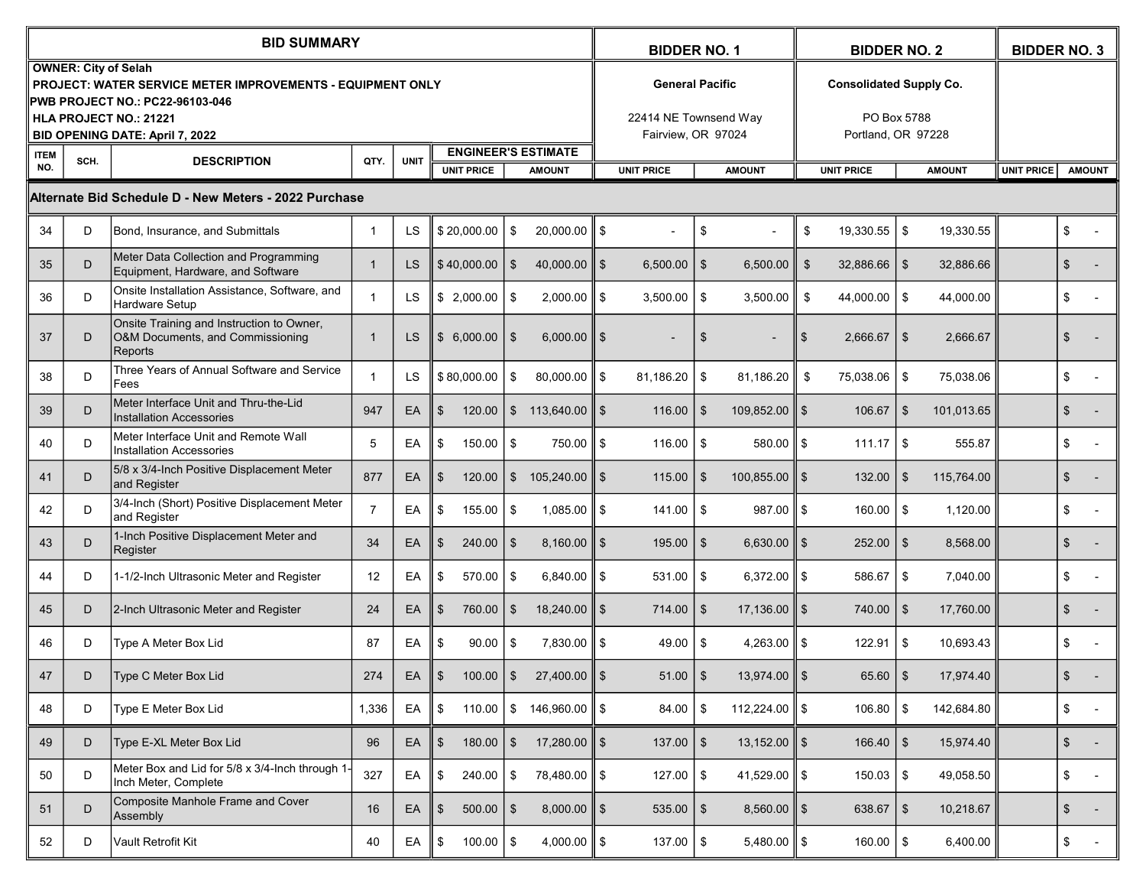|                    |                                                       | <b>BID SUMMARY</b>                                                                                                                                                              | <b>BIDDER NO. 1</b> |             |                                                                  |                |                             | <b>BIDDER NO. 2</b>                                                   |                        |                |                          | <b>BIDDER NO. 3</b> |                                                                     |                                    |            |  |                |  |
|--------------------|-------------------------------------------------------|---------------------------------------------------------------------------------------------------------------------------------------------------------------------------------|---------------------|-------------|------------------------------------------------------------------|----------------|-----------------------------|-----------------------------------------------------------------------|------------------------|----------------|--------------------------|---------------------|---------------------------------------------------------------------|------------------------------------|------------|--|----------------|--|
|                    | <b>OWNER: City of Selah</b>                           | <b>PROJECT: WATER SERVICE METER IMPROVEMENTS - EQUIPMENT ONLY</b><br><b>PWB PROJECT NO.: PC22-96103-046</b><br><b>HLA PROJECT NO.: 21221</b><br>BID OPENING DATE: April 7, 2022 |                     |             |                                                                  |                |                             | <b>General Pacific</b><br>22414 NE Townsend Way<br>Fairview. OR 97024 |                        |                |                          |                     | <b>Consolidated Supply Co.</b><br>PO Box 5788<br>Portland, OR 97228 |                                    |            |  |                |  |
| <b>ITEM</b><br>NO. | SCH.                                                  | <b>DESCRIPTION</b>                                                                                                                                                              | QTY.                | <b>UNIT</b> | <b>ENGINEER'S ESTIMATE</b><br><b>UNIT PRICE</b><br><b>AMOUNT</b> |                |                             |                                                                       | <b>UNIT PRICE</b>      |                | <b>AMOUNT</b>            |                     | <b>UNIT PRICE</b>                                                   | <b>UNIT PRICE</b><br><b>AMOUNT</b> |            |  |                |  |
|                    | Alternate Bid Schedule D - New Meters - 2022 Purchase |                                                                                                                                                                                 |                     |             |                                                                  |                |                             |                                                                       | <b>AMOUNT</b>          |                |                          |                     |                                                                     |                                    |            |  |                |  |
| 34                 | D                                                     | Bond, Insurance, and Submittals                                                                                                                                                 | $\mathbf 1$         | LS          | \$20,000.00                                                      | - \$           | $20,000.00$   \$            |                                                                       |                        | \$             |                          | \$                  | 19,330.55                                                           | \$                                 | 19,330.55  |  | \$             |  |
| 35                 | D                                                     | Meter Data Collection and Programming<br>Equipment, Hardware, and Software                                                                                                      | -1                  | LS          | \$40,000.00                                                      | <b>\$</b>      | 40,000.00 $\parallel$ \$    |                                                                       | 6,500.00               | $\mathfrak{S}$ | 6,500.00                 | \$                  | 32,886.66                                                           | $\sqrt[6]{3}$                      | 32,886.66  |  | \$             |  |
| 36                 | D                                                     | Onsite Installation Assistance, Software, and<br>Hardware Setup                                                                                                                 | 1                   | LS          | \$2,000.00                                                       | l \$           | $2,000.00$   \$             |                                                                       | 3,500.00               | \$             | 3,500.00                 | \$                  | 44,000.00                                                           | \$                                 | 44,000.00  |  | \$             |  |
| 37                 | D                                                     | Onsite Training and Instruction to Owner,<br>O&M Documents, and Commissioning<br>Reports                                                                                        |                     | LS          | \$6,000.00                                                       | l \$           | $6,000.00$   \$             |                                                                       |                        | \$             |                          | \$                  | 2,666.67                                                            | \$                                 | 2,666.67   |  | \$             |  |
| 38                 | D                                                     | Three Years of Annual Software and Service<br>Fees                                                                                                                              | -1                  | <b>LS</b>   | \$80,000.00                                                      | \$             | $80,000.00$    \$           |                                                                       | 81,186.20              | \$             | 81,186.20                | \$                  | 75,038.06                                                           | \$                                 | 75,038.06  |  | \$             |  |
| 39                 | D                                                     | Meter Interface Unit and Thru-the-Lid<br><b>Installation Accessories</b>                                                                                                        | 947                 | EA          | $\mathfrak{S}$<br>120.00                                         |                | $\$\,$ 113,640.00 $\ \,$ \$ |                                                                       | 116.00                 | \$             | 109,852.00               | \$                  | 106.67                                                              | $\sqrt[6]{3}$                      | 101,013.65 |  | \$             |  |
| 40                 | D                                                     | Meter Interface Unit and Remote Wall<br><b>Installation Accessories</b>                                                                                                         | 5                   | EA          | \$<br>150.00                                                     | $\vert$ \$     | 750.00 \$                   |                                                                       | $116.00$ $\frac{1}{5}$ |                | 580.00                   | l \$                | 111.17                                                              | \$                                 | 555.87     |  | \$             |  |
| 41                 | D                                                     | 5/8 x 3/4-Inch Positive Displacement Meter<br>and Register                                                                                                                      | 877                 | EA          | $\mathfrak{S}$<br>120.00                                         | $\mathfrak{S}$ | 105,240.00    \$            |                                                                       | 115.00                 | $\mathfrak{S}$ | 100,855.00               | l \$                | 132.00                                                              | $\sqrt[6]{3}$                      | 115,764.00 |  | $\mathfrak{S}$ |  |
| 42                 | D                                                     | 3/4-Inch (Short) Positive Displacement Meter<br>and Register                                                                                                                    | 7                   | EA          | \$<br>155.00                                                     | l \$           | $1,085.00$ S                |                                                                       | 141.00                 | \$             | 987.00                   | \$                  | 160.00                                                              | \$                                 | 1,120.00   |  | \$             |  |
| 43                 | D                                                     | 1-Inch Positive Displacement Meter and<br>Register                                                                                                                              | 34                  | EA          | \$<br>240.00                                                     | <b>S</b>       | $8,160.00$   \$             |                                                                       | $195.00$   \$          |                | 6,630.00                 | \$                  | 252.00                                                              | $\sqrt[6]{3}$                      | 8,568.00   |  | \$             |  |
| 44                 | D                                                     | 1-1/2-Inch Ultrasonic Meter and Register                                                                                                                                        | 12                  | EA          | \$<br>570.00                                                     | l \$           | $6,840.00$   \$             |                                                                       | 531.00                 | \$             | 6,372.00                 | l \$                | 586.67                                                              | \$                                 | 7,040.00   |  | \$             |  |
| 45                 | D                                                     | 2-Inch Ultrasonic Meter and Register                                                                                                                                            | 24                  | EA          | $\mathfrak{S}$<br>760.00                                         | <b>S</b>       | $18,240.00$ $\parallel$ \$  |                                                                       | $714.00$   \$          |                | 17,136.00                | \$                  | 740.00                                                              | $\sqrt[6]{3}$                      | 17,760.00  |  | \$             |  |
| 46                 | D                                                     | Type A Meter Box Lid                                                                                                                                                            | 87                  | EA          | \$<br>90.00                                                      | l \$           | $7.830.00$ S                |                                                                       | $49.00$   \$           |                | 4,263.00                 | \$                  | 122.91                                                              | \$                                 | 10,693.43  |  | \$             |  |
| 47                 | D                                                     | Type C Meter Box Lid                                                                                                                                                            | 274                 | EA          | $\mathfrak{S}$<br>100.00                                         | \$             | $27,400.00$   \$            |                                                                       | $51.00$   \$           |                | 13,974.00                | ll \$               | 65.60                                                               | \$                                 | 17,974.40  |  | $\frac{1}{2}$  |  |
| 48                 | D                                                     | Type E Meter Box Lid                                                                                                                                                            | 1,336               | EA          | \$<br>110.00                                                     | $1$ \$         | 146,960.00 ∥ \$             |                                                                       | 84.00                  | \$             | 112,224.00 $\ $ \$       |                     | 106.80                                                              | \$                                 | 142,684.80 |  | \$             |  |
| 49                 | D                                                     | Type E-XL Meter Box Lid                                                                                                                                                         | 96                  | EA          | $180.00$ \$<br>$\sqrt[6]{2}$                                     |                | 17,280.00 $\ $ \$           |                                                                       | $137.00$ \ \$          |                | $13,152.00 \parallel$ \$ |                     | $166.40$   \$                                                       |                                    | 15,974.40  |  | \$             |  |
| 50                 | D                                                     | Meter Box and Lid for 5/8 x 3/4-Inch through 1-<br>Inch Meter, Complete                                                                                                         | 327                 | EA          | $240.00$ \ \$<br>\$                                              |                | 78,480.00 \$                |                                                                       | $127.00$   \$          |                | 41,529.00 $\ $ \$        |                     | 150.03                                                              | \$                                 | 49,058.50  |  | \$             |  |
| 51                 | D                                                     | <b>Composite Manhole Frame and Cover</b><br>Assembly                                                                                                                            | 16                  | EA          | $\frac{2}{3}$<br>$500.00$ \ \$                                   |                | $8,000.00$ \$               |                                                                       | $535.00$   \$          |                | $8,560.00$ \$            |                     | 638.67                                                              | $\sqrt{3}$                         | 10,218.67  |  | $\frac{1}{2}$  |  |
| 52                 | D                                                     | Vault Retrofit Kit                                                                                                                                                              | 40                  | EA          | $100.00$ \$<br>\$                                                |                | 4,000.00 $\ $ \$            |                                                                       | $137.00$   \$          |                | 5,480.00                 | $\parallel$ \$      | 160.00                                                              | \$                                 | 6,400.00   |  | \$             |  |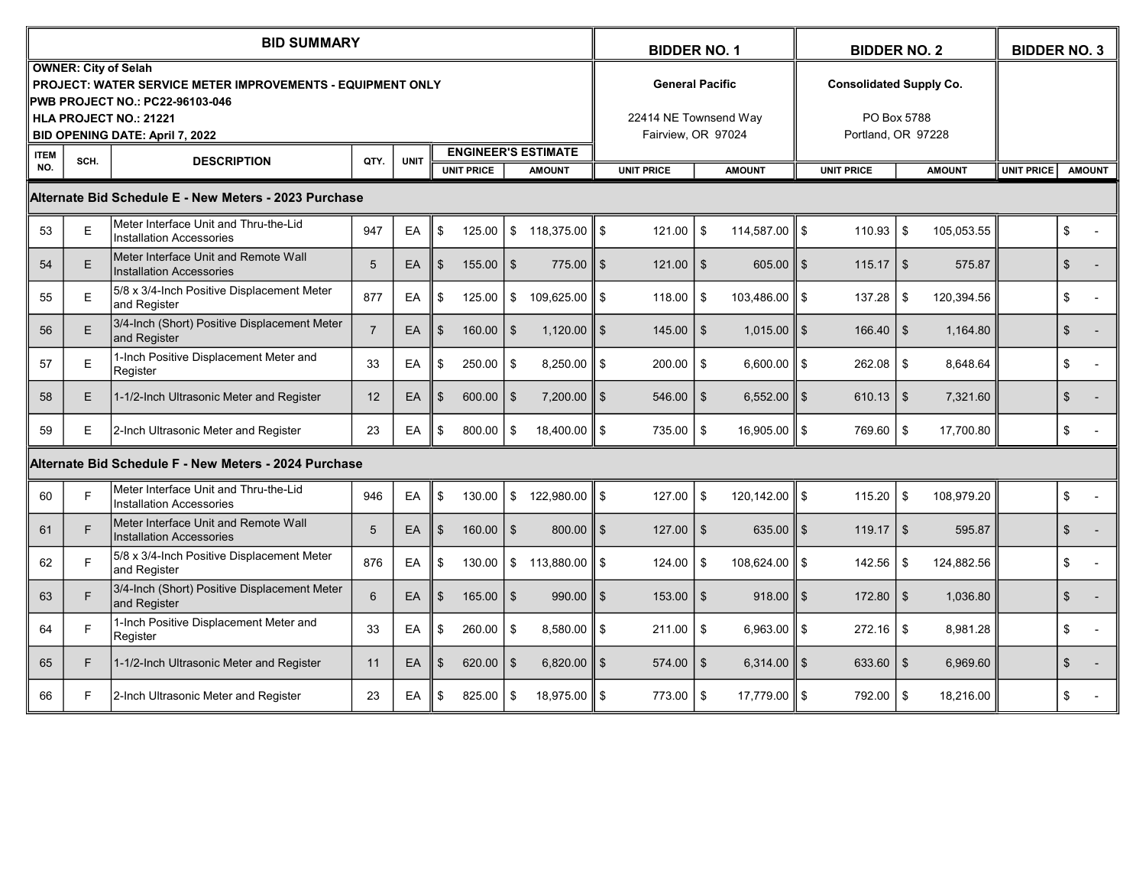|                                                                        | <b>BID SUMMARY</b>                                               |                                                                                                                              |                |             |                                                                  |        |                    |                            |                        |               | <b>BIDDER NO. 1</b> |                                             |                                   |                                |               | <b>BIDDER NO. 2</b> |  |                |  |
|------------------------------------------------------------------------|------------------------------------------------------------------|------------------------------------------------------------------------------------------------------------------------------|----------------|-------------|------------------------------------------------------------------|--------|--------------------|----------------------------|------------------------|---------------|---------------------|---------------------------------------------|-----------------------------------|--------------------------------|---------------|---------------------|--|----------------|--|
|                                                                        |                                                                  | <b>OWNER: City of Selah</b><br>PROJECT: WATER SERVICE METER IMPROVEMENTS - EQUIPMENT ONLY<br>PWB PROJECT NO.: PC22-96103-046 |                |             |                                                                  |        |                    |                            | <b>General Pacific</b> |               |                     |                                             |                                   | <b>Consolidated Supply Co.</b> |               |                     |  |                |  |
|                                                                        | <b>HLA PROJECT NO.: 21221</b><br>BID OPENING DATE: April 7, 2022 |                                                                                                                              |                |             |                                                                  |        |                    |                            |                        |               |                     | 22414 NE Townsend Way<br>Fairview, OR 97024 | PO Box 5788<br>Portland, OR 97228 |                                |               |                     |  |                |  |
| <b>ITEM</b><br>NO.                                                     | SCH.                                                             | <b>DESCRIPTION</b>                                                                                                           | QTY.           | <b>UNIT</b> | <b>ENGINEER'S ESTIMATE</b><br><b>UNIT PRICE</b><br><b>AMOUNT</b> |        |                    |                            | <b>UNIT PRICE</b>      |               | <b>AMOUNT</b>       |                                             | <b>UNIT PRICE</b>                 | <b>UNIT PRICE</b>              | <b>AMOUNT</b> |                     |  |                |  |
| <b>AMOUNT</b><br>Alternate Bid Schedule E - New Meters - 2023 Purchase |                                                                  |                                                                                                                              |                |             |                                                                  |        |                    |                            |                        |               |                     |                                             |                                   |                                |               |                     |  |                |  |
| 53                                                                     | $\mathsf E$                                                      | Meter Interface Unit and Thru-the-Lid<br><b>Installation Accessories</b>                                                     | 947            | EA          | \$                                                               | 125.00 | \$                 | 118,375.00                 | \$                     | 121.00        | \$                  | 114,587.00                                  | \$                                | 110.93                         | \$            | 105,053.55          |  | \$             |  |
| 54                                                                     | E                                                                | Meter Interface Unit and Remote Wall<br><b>Installation Accessories</b>                                                      | 5              | EA          | $\mathfrak{S}$                                                   | 155.00 | \$                 | $775.00$ $\parallel$ \$    |                        | $121.00$   \$ |                     | 605.00                                      | ll \$                             | 115.17                         | $\sqrt{3}$    | 575.87              |  | \$             |  |
| 55                                                                     | E                                                                | 5/8 x 3/4-Inch Positive Displacement Meter<br>and Register                                                                   | 877            | EA          | \$                                                               | 125.00 | \$                 | 109,625.00                 | \$                     | 118.00        | \$                  | 103,486.00                                  | 11 S                              | 137.28                         | \$            | 120,394.56          |  | \$             |  |
| 56                                                                     | E                                                                | 3/4-Inch (Short) Positive Displacement Meter<br>and Register                                                                 | $\overline{7}$ | EA          | $\mathfrak{S}$                                                   | 160.00 | \$                 | $1,120.00$ $\parallel$ \$  |                        | $145.00$   \$ |                     | $1,015.00$ $\parallel$ \$                   |                                   | 166.40                         | <b>S</b>      | 1,164.80            |  | \$             |  |
| 57                                                                     | E                                                                | 1-Inch Positive Displacement Meter and<br>Register                                                                           | 33             | EA          | \$                                                               | 250.00 | \$                 | $8,250.00$   \$            |                        | 200.00        | \$                  | 6,600.00                                    | 11 S                              | 262.08                         | \$            | 8,648.64            |  | \$             |  |
| 58                                                                     | E                                                                | 1-1/2-Inch Ultrasonic Meter and Register                                                                                     | 12             | EA          | $\mathfrak{F}$                                                   | 600.00 | \$                 | $7,200.00$ \$              |                        | $546.00$   \$ |                     | 6,552.00                                    | $II$ \$                           | 610.13                         | l \$          | 7,321.60            |  | \$             |  |
| 59                                                                     | E                                                                | 2-Inch Ultrasonic Meter and Register                                                                                         | 23             | EA          | \$                                                               | 800.00 | \$                 | $18,400.00$ $\parallel$ \$ |                        | 735.00        | \$                  | $16,905.00$ S                               |                                   | 769.60                         | $\sqrt{3}$    | 17,700.80           |  | \$             |  |
|                                                                        |                                                                  | Alternate Bid Schedule F - New Meters - 2024 Purchase                                                                        |                |             |                                                                  |        |                    |                            |                        |               |                     |                                             |                                   |                                |               |                     |  |                |  |
| 60                                                                     | E                                                                | Meter Interface Unit and Thru-the-Lid<br><b>Installation Accessories</b>                                                     | 946            | EA          | \$                                                               | 130.00 | \$                 | 122,980.00                 | \$                     | 127.00        | \$                  | $120, 142.00$ \ \$                          |                                   | 115.20                         | \$            | 108,979.20          |  | \$             |  |
| 61                                                                     | F                                                                | Meter Interface Unit and Remote Wall<br><b>Installation Accessories</b>                                                      | 5              | EA          | $\mathfrak{S}$                                                   | 160.00 | $\mathbf{\hat{s}}$ | $800.00$    \$             |                        | $127.00$   \$ |                     | 635.00                                      | $II$ \$                           | 119.17                         | l \$          | 595.87              |  | $\mathfrak{L}$ |  |
| 62                                                                     | F                                                                | 5/8 x 3/4-Inch Positive Displacement Meter<br>and Register                                                                   | 876            | EA          | \$                                                               | 130.00 |                    | \$113,880.00               | \$                     | 124.00        | \$                  | 108,624.00                                  | 11 S                              | 142.56                         | \$            | 124,882.56          |  | \$             |  |
| 63                                                                     | F.                                                               | 3/4-Inch (Short) Positive Displacement Meter<br>and Register                                                                 | 6              | EA          | $\mathfrak{L}$                                                   | 165.00 | \$                 | $990.00$    \$             |                        | 153.00        | $\mathbb{S}$        | $918.00$ $\parallel$ \$                     |                                   | 172.80                         | \$            | 1,036.80            |  | $\mathfrak{S}$ |  |
| 64                                                                     | F                                                                | 1-Inch Positive Displacement Meter and<br>Register                                                                           | 33             | EA          | \$                                                               | 260.00 | \$                 | $8.580.00$ S               |                        | 211.00        | \$                  | 6.963.00                                    | 11 S                              | 272.16                         | \$            | 8.981.28            |  | \$             |  |
| 65                                                                     | F.                                                               | 1-1/2-Inch Ultrasonic Meter and Register                                                                                     | 11             | EA          | $\mathfrak{S}$                                                   | 620.00 | \$                 | 6,820.00                   | $\mathfrak{S}$         | 574.00        | $\mathfrak{S}$      | $6,314.00$   \$                             |                                   | 633.60                         | <b>S</b>      | 6,969.60            |  | $\mathfrak{S}$ |  |
| 66                                                                     | F.                                                               | 2-Inch Ultrasonic Meter and Register                                                                                         | 23             | EA          | \$                                                               | 825.00 | \$                 | 18.975.00 ∥ \$             |                        | 773.00 l      | -\$                 | 17,779.00    \$                             |                                   | 792.00                         | . \$          | 18,216.00           |  | \$             |  |